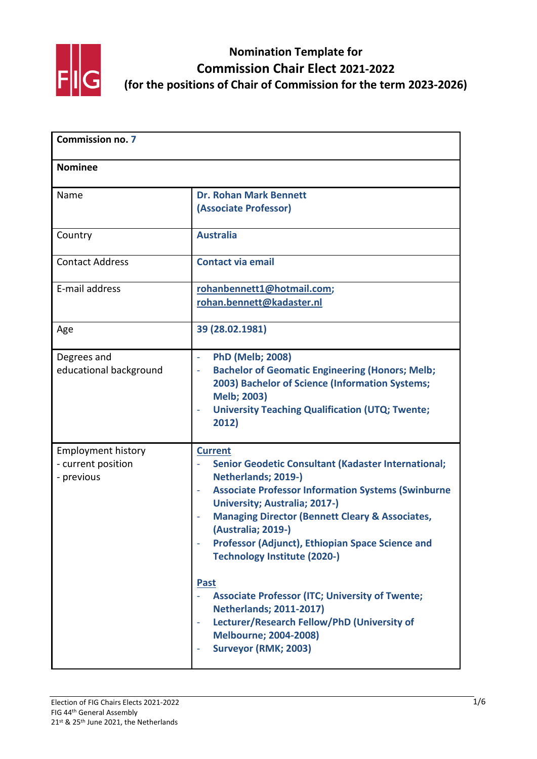

| <b>Commission no. 7</b><br><b>Nominee</b>                     |                                                                                                                                                                                                                                                                                                                                                                                                                                                                                                                                                                                                           |  |
|---------------------------------------------------------------|-----------------------------------------------------------------------------------------------------------------------------------------------------------------------------------------------------------------------------------------------------------------------------------------------------------------------------------------------------------------------------------------------------------------------------------------------------------------------------------------------------------------------------------------------------------------------------------------------------------|--|
|                                                               |                                                                                                                                                                                                                                                                                                                                                                                                                                                                                                                                                                                                           |  |
| Country                                                       | <b>Australia</b>                                                                                                                                                                                                                                                                                                                                                                                                                                                                                                                                                                                          |  |
| <b>Contact Address</b>                                        | <b>Contact via email</b>                                                                                                                                                                                                                                                                                                                                                                                                                                                                                                                                                                                  |  |
| E-mail address                                                | rohanbennett1@hotmail.com;<br>rohan.bennett@kadaster.nl                                                                                                                                                                                                                                                                                                                                                                                                                                                                                                                                                   |  |
| Age                                                           | 39 (28.02.1981)                                                                                                                                                                                                                                                                                                                                                                                                                                                                                                                                                                                           |  |
| Degrees and<br>educational background                         | <b>PhD (Melb; 2008)</b><br>$\bar{\phantom{a}}$<br><b>Bachelor of Geomatic Engineering (Honors; Melb;</b><br>÷,<br>2003) Bachelor of Science (Information Systems;<br><b>Melb; 2003)</b><br><b>University Teaching Qualification (UTQ; Twente;</b><br>2012)                                                                                                                                                                                                                                                                                                                                                |  |
| <b>Employment history</b><br>- current position<br>- previous | <b>Current</b><br>Senior Geodetic Consultant (Kadaster International;<br>Netherlands; 2019-)<br><b>Associate Professor Information Systems (Swinburne</b><br><b>University; Australia; 2017-)</b><br><b>Managing Director (Bennett Cleary &amp; Associates,</b><br>(Australia; 2019-)<br>Professor (Adjunct), Ethiopian Space Science and<br><b>Technology Institute (2020-)</b><br><b>Past</b><br><b>Associate Professor (ITC; University of Twente;</b><br><b>Netherlands; 2011-2017)</b><br>Lecturer/Research Fellow/PhD (University of<br><b>Melbourne; 2004-2008)</b><br><b>Surveyor (RMK; 2003)</b> |  |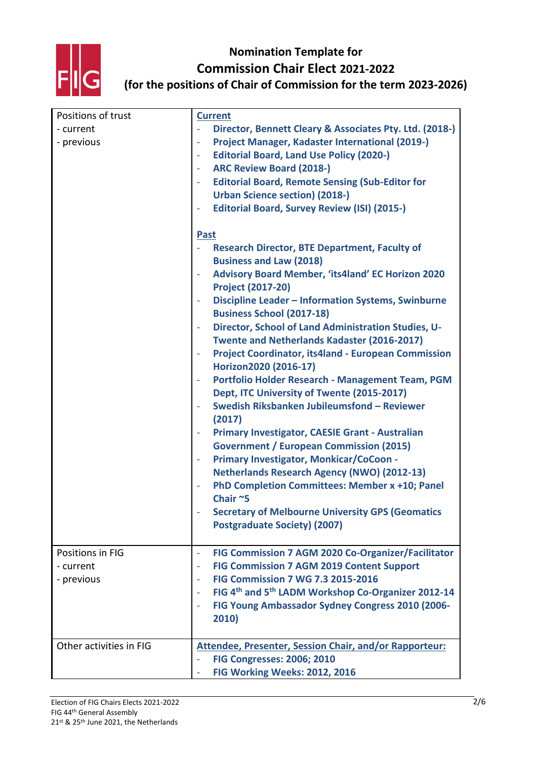

| Positions of trust      | <b>Current</b>                                                                         |
|-------------------------|----------------------------------------------------------------------------------------|
| - current               | Director, Bennett Cleary & Associates Pty. Ltd. (2018-)                                |
| - previous              | Project Manager, Kadaster International (2019-)<br>$\overline{\phantom{a}}$            |
|                         | <b>Editorial Board, Land Use Policy (2020-)</b>                                        |
|                         | <b>ARC Review Board (2018-)</b>                                                        |
|                         | <b>Editorial Board, Remote Sensing (Sub-Editor for</b>                                 |
|                         | <b>Urban Science section) (2018-)</b>                                                  |
|                         | <b>Editorial Board, Survey Review (ISI) (2015-)</b>                                    |
|                         | <b>Past</b>                                                                            |
|                         | <b>Research Director, BTE Department, Faculty of</b>                                   |
|                         | <b>Business and Law (2018)</b>                                                         |
|                         | Advisory Board Member, 'its4land' EC Horizon 2020<br><b>Project (2017-20)</b>          |
|                         | Discipline Leader - Information Systems, Swinburne<br><b>Business School (2017-18)</b> |
|                         | Director, School of Land Administration Studies, U-                                    |
|                         | Twente and Netherlands Kadaster (2016-2017)                                            |
|                         | Project Coordinator, its4land - European Commission                                    |
|                         | Horizon2020 (2016-17)                                                                  |
|                         | Portfolio Holder Research - Management Team, PGM                                       |
|                         | Dept, ITC University of Twente (2015-2017)                                             |
|                         | Swedish Riksbanken Jubileumsfond - Reviewer                                            |
|                         | (2017)                                                                                 |
|                         | Primary Investigator, CAESIE Grant - Australian                                        |
|                         | <b>Government / European Commission (2015)</b>                                         |
|                         | Primary Investigator, Monkicar/CoCoon -                                                |
|                         | <b>Netherlands Research Agency (NWO) (2012-13)</b>                                     |
|                         | PhD Completion Committees: Member x +10; Panel<br>Chair~5                              |
|                         | <b>Secretary of Melbourne University GPS (Geomatics</b>                                |
|                         | <b>Postgraduate Society) (2007)</b>                                                    |
|                         |                                                                                        |
| Positions in FIG        | FIG Commission 7 AGM 2020 Co-Organizer/Facilitator                                     |
| - current               | <b>FIG Commission 7 AGM 2019 Content Support</b>                                       |
| - previous              | <b>FIG Commission 7 WG 7.3 2015-2016</b>                                               |
|                         | FIG 4th and 5th LADM Workshop Co-Organizer 2012-14                                     |
|                         | FIG Young Ambassador Sydney Congress 2010 (2006-                                       |
|                         | 2010)                                                                                  |
| Other activities in FIG | <b>Attendee, Presenter, Session Chair, and/or Rapporteur:</b>                          |
|                         | <b>FIG Congresses: 2006; 2010</b>                                                      |
|                         | FIG Working Weeks: 2012, 2016                                                          |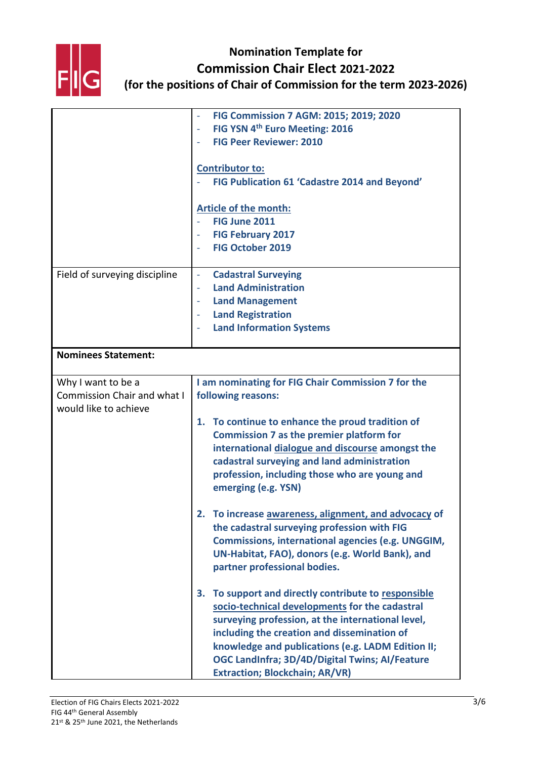

|                                    | FIG Commission 7 AGM: 2015; 2019; 2020                   |
|------------------------------------|----------------------------------------------------------|
|                                    | FIG YSN 4 <sup>th</sup> Euro Meeting: 2016               |
|                                    | <b>FIG Peer Reviewer: 2010</b>                           |
|                                    |                                                          |
|                                    | <b>Contributor to:</b>                                   |
|                                    | FIG Publication 61 'Cadastre 2014 and Beyond'            |
|                                    |                                                          |
|                                    | Article of the month:                                    |
|                                    | FIG June 2011                                            |
|                                    | <b>FIG February 2017</b>                                 |
|                                    | <b>FIG October 2019</b>                                  |
|                                    |                                                          |
| Field of surveying discipline      | <b>Cadastral Surveying</b><br>$\Box$                     |
|                                    | <b>Land Administration</b>                               |
|                                    | <b>Land Management</b>                                   |
|                                    | <b>Land Registration</b>                                 |
|                                    | <b>Land Information Systems</b>                          |
|                                    |                                                          |
| <b>Nominees Statement:</b>         |                                                          |
|                                    |                                                          |
| Why I want to be a                 | I am nominating for FIG Chair Commission 7 for the       |
| <b>Commission Chair and what I</b> | following reasons:                                       |
| would like to achieve              |                                                          |
|                                    | 1. To continue to enhance the proud tradition of         |
|                                    | <b>Commission 7 as the premier platform for</b>          |
|                                    | international dialogue and discourse amongst the         |
|                                    | cadastral surveying and land administration              |
|                                    | profession, including those who are young and            |
|                                    | emerging (e.g. YSN)                                      |
|                                    |                                                          |
|                                    | To increase awareness, alignment, and advocacy of        |
|                                    | the cadastral surveying profession with FIG              |
|                                    | <b>Commissions, international agencies (e.g. UNGGIM,</b> |
|                                    | UN-Habitat, FAO), donors (e.g. World Bank), and          |
|                                    | partner professional bodies.                             |
|                                    |                                                          |
|                                    | To support and directly contribute to responsible<br>З.  |
|                                    | socio-technical developments for the cadastral           |
|                                    | surveying profession, at the international level,        |
|                                    | including the creation and dissemination of              |
|                                    | knowledge and publications (e.g. LADM Edition II;        |
|                                    | OGC LandInfra; 3D/4D/Digital Twins; Al/Feature           |
|                                    | <b>Extraction; Blockchain; AR/VR)</b>                    |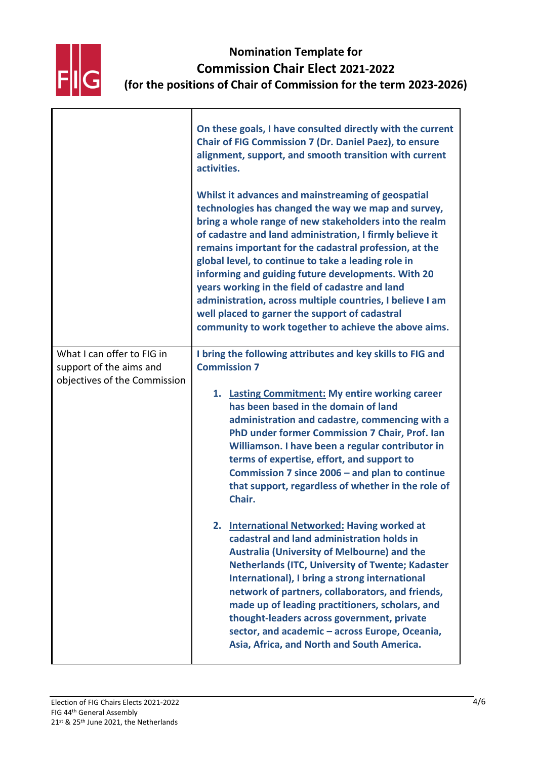

|                                                       | On these goals, I have consulted directly with the current<br><b>Chair of FIG Commission 7 (Dr. Daniel Paez), to ensure</b><br>alignment, support, and smooth transition with current<br>activities.                                                                                                                                                                                                                                                                                                                                                                                                                              |
|-------------------------------------------------------|-----------------------------------------------------------------------------------------------------------------------------------------------------------------------------------------------------------------------------------------------------------------------------------------------------------------------------------------------------------------------------------------------------------------------------------------------------------------------------------------------------------------------------------------------------------------------------------------------------------------------------------|
|                                                       | Whilst it advances and mainstreaming of geospatial<br>technologies has changed the way we map and survey,<br>bring a whole range of new stakeholders into the realm<br>of cadastre and land administration, I firmly believe it<br>remains important for the cadastral profession, at the<br>global level, to continue to take a leading role in<br>informing and guiding future developments. With 20<br>years working in the field of cadastre and land<br>administration, across multiple countries, I believe I am<br>well placed to garner the support of cadastral<br>community to work together to achieve the above aims. |
| What I can offer to FIG in<br>support of the aims and | I bring the following attributes and key skills to FIG and<br><b>Commission 7</b>                                                                                                                                                                                                                                                                                                                                                                                                                                                                                                                                                 |
| objectives of the Commission                          | 1. Lasting Commitment: My entire working career<br>has been based in the domain of land<br>administration and cadastre, commencing with a<br>PhD under former Commission 7 Chair, Prof. Ian<br>Williamson. I have been a regular contributor in<br>terms of expertise, effort, and support to<br>Commission 7 since 2006 – and plan to continue<br>that support, regardless of whether in the role of<br>Chair.                                                                                                                                                                                                                   |
|                                                       | <b>International Networked: Having worked at</b><br>2.<br>cadastral and land administration holds in<br><b>Australia (University of Melbourne) and the</b><br><b>Netherlands (ITC, University of Twente; Kadaster</b><br>International), I bring a strong international<br>network of partners, collaborators, and friends,<br>made up of leading practitioners, scholars, and<br>thought-leaders across government, private<br>sector, and academic - across Europe, Oceania,<br>Asia, Africa, and North and South America.                                                                                                      |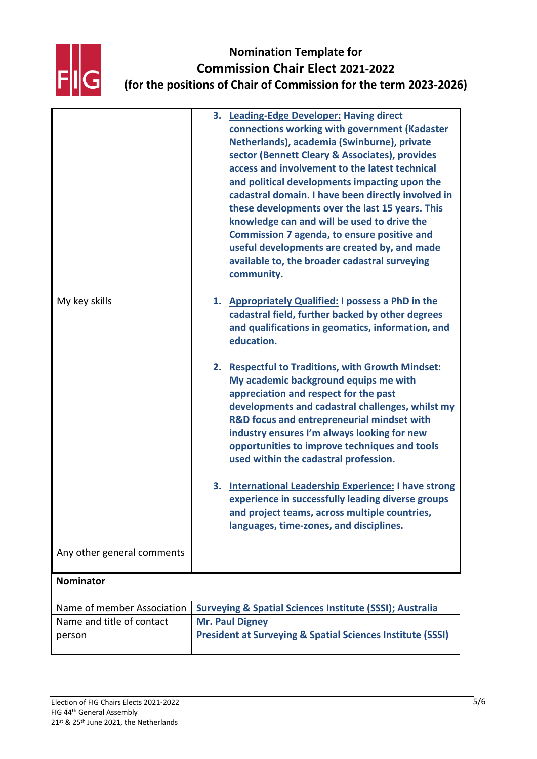

|                            | 3. Leading-Edge Developer: Having direct<br>connections working with government (Kadaster<br>Netherlands), academia (Swinburne), private<br>sector (Bennett Cleary & Associates), provides<br>access and involvement to the latest technical<br>and political developments impacting upon the<br>cadastral domain. I have been directly involved in<br>these developments over the last 15 years. This<br>knowledge can and will be used to drive the<br><b>Commission 7 agenda, to ensure positive and</b><br>useful developments are created by, and made<br>available to, the broader cadastral surveying<br>community. |
|----------------------------|----------------------------------------------------------------------------------------------------------------------------------------------------------------------------------------------------------------------------------------------------------------------------------------------------------------------------------------------------------------------------------------------------------------------------------------------------------------------------------------------------------------------------------------------------------------------------------------------------------------------------|
| My key skills              | 1. Appropriately Qualified: I possess a PhD in the<br>cadastral field, further backed by other degrees<br>and qualifications in geomatics, information, and<br>education.                                                                                                                                                                                                                                                                                                                                                                                                                                                  |
|                            | <b>Respectful to Traditions, with Growth Mindset:</b><br>2.<br>My academic background equips me with<br>appreciation and respect for the past<br>developments and cadastral challenges, whilst my<br>R&D focus and entrepreneurial mindset with<br>industry ensures I'm always looking for new<br>opportunities to improve techniques and tools<br>used within the cadastral profession.                                                                                                                                                                                                                                   |
|                            | <b>International Leadership Experience: I have strong</b><br>3.<br>experience in successfully leading diverse groups<br>and project teams, across multiple countries,<br>languages, time-zones, and disciplines.                                                                                                                                                                                                                                                                                                                                                                                                           |
| Any other general comments |                                                                                                                                                                                                                                                                                                                                                                                                                                                                                                                                                                                                                            |
| <b>Nominator</b>           |                                                                                                                                                                                                                                                                                                                                                                                                                                                                                                                                                                                                                            |
|                            |                                                                                                                                                                                                                                                                                                                                                                                                                                                                                                                                                                                                                            |
| Name of member Association | <b>Surveying &amp; Spatial Sciences Institute (SSSI); Australia</b>                                                                                                                                                                                                                                                                                                                                                                                                                                                                                                                                                        |
| Name and title of contact  | <b>Mr. Paul Digney</b>                                                                                                                                                                                                                                                                                                                                                                                                                                                                                                                                                                                                     |
| person                     | <b>President at Surveying &amp; Spatial Sciences Institute (SSSI)</b>                                                                                                                                                                                                                                                                                                                                                                                                                                                                                                                                                      |